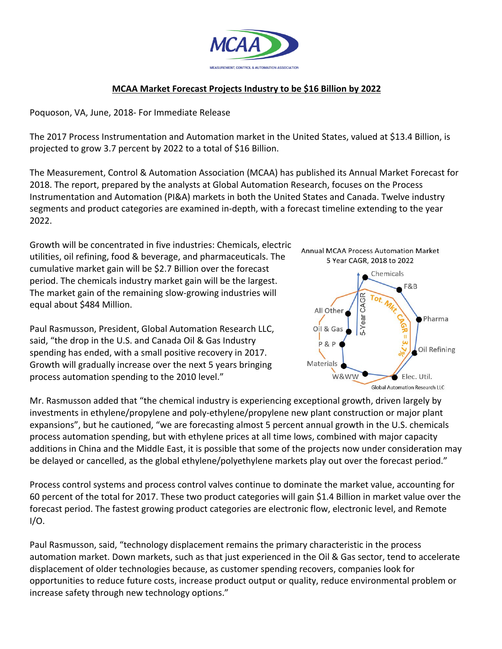

## **MCAA Market Forecast Projects Industry to be \$16 Billion by 2022**

Poquoson, VA, June, 2018- For Immediate Release

The 2017 Process Instrumentation and Automation market in the United States, valued at \$13.4 Billion, is projected to grow 3.7 percent by 2022 to a total of \$16 Billion.

The Measurement, Control & Automation Association (MCAA) has published its Annual Market Forecast for 2018. The report, prepared by the analysts at Global Automation Research, focuses on the Process Instrumentation and Automation (PI&A) markets in both the United States and Canada. Twelve industry segments and product categories are examined in-depth, with a forecast timeline extending to the year 2022.

Growth will be concentrated in five industries: Chemicals, electric utilities, oil refining, food & beverage, and pharmaceuticals. The cumulative market gain will be \$2.7 Billion over the forecast period. The chemicals industry market gain will be the largest. The market gain of the remaining slow-growing industries will equal about \$484 Million.

Paul Rasmusson, President, Global Automation Research LLC, said, "the drop in the U.S. and Canada Oil & Gas Industry spending has ended, with a small positive recovery in 2017. Growth will gradually increase over the next 5 years bringing process automation spending to the 2010 level."

Mr. Rasmusson added that "the chemical industry is experiencing exceptional growth, driven largely by investments in ethylene/propylene and poly-ethylene/propylene new plant construction or major plant expansions", but he cautioned, "we are forecasting almost 5 percent annual growth in the U.S. chemicals process automation spending, but with ethylene prices at all time lows, combined with major capacity additions in China and the Middle East, it is possible that some of the projects now under consideration may be delayed or cancelled, as the global ethylene/polyethylene markets play out over the forecast period."

Process control systems and process control valves continue to dominate the market value, accounting for 60 percent of the total for 2017. These two product categories will gain \$1.4 Billion in market value over the forecast period. The fastest growing product categories are electronic flow, electronic level, and Remote  $I/O$ .

Paul Rasmusson, said, "technology displacement remains the primary characteristic in the process automation market. Down markets, such as that just experienced in the Oil & Gas sector, tend to accelerate displacement of older technologies because, as customer spending recovers, companies look for opportunities to reduce future costs, increase product output or quality, reduce environmental problem or increase safety through new technology options."